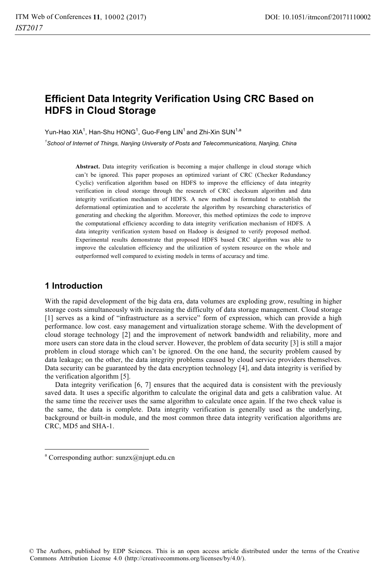# **Efficient Data Integrity Verification Using CRC Based on HDFS in Cloud Storage**

Yun-Hao XIA $^1$ , Han-Shu HONG $^1$ , Guo-Feng LIN $^1$ and Zhi-Xin SUN $^{1,a}$ 

*1 School of Internet of Things, Nanjing University of Posts and Telecommunications, Nanjing, China* 

**Abstract.** Data integrity verification is becoming a major challenge in cloud storage which can't be ignored. This paper proposes an optimized variant of CRC (Checker Redundancy Cyclic) verification algorithm based on HDFS to improve the efficiency of data integrity verification in cloud storage through the research of CRC checksum algorithm and data integrity verification mechanism of HDFS. A new method is formulated to establish the deformational optimization and to accelerate the algorithm by researching characteristics of generating and checking the algorithm. Moreover, this method optimizes the code to improve the computational efficiency according to data integrity verification mechanism of HDFS. A data integrity verification system based on Hadoop is designed to verify proposed method. Experimental results demonstrate that proposed HDFS based CRC algorithm was able to improve the calculation efficiency and the utilization of system resource on the whole and outperformed well compared to existing models in terms of accuracy and time.

### **1 Introduction**

1

With the rapid development of the big data era, data volumes are exploding grow, resulting in higher storage costs simultaneously with increasing the difficulty of data storage management. Cloud storage [1] serves as a kind of "infrastructure as a service" form of expression, which can provide a high performance. low cost. easy management and virtualization storage scheme. With the development of cloud storage technology [2] and the improvement of network bandwidth and reliability, more and more users can store data in the cloud server. However, the problem of data security [3] is still a major problem in cloud storage which can't be ignored. On the one hand, the security problem caused by data leakage; on the other, the data integrity problems caused by cloud service providers themselves. Data security can be guaranteed by the data encryption technology [4], and data integrity is verified by the verification algorithm [5].

Data integrity verification [6, 7] ensures that the acquired data is consistent with the previously saved data. It uses a specific algorithm to calculate the original data and gets a calibration value. At the same time the receiver uses the same algorithm to calculate once again. If the two check value is the same, the data is complete. Data integrity verification is generally used as the underlying, background or built-in module, and the most common three data integrity verification algorithms are CRC, MD5 and SHA-1.

<sup>&</sup>lt;sup>a</sup> Corresponding author: sunzx@njupt.edu.cn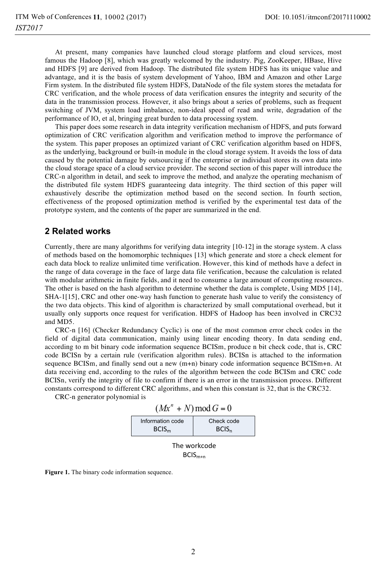At present, many companies have launched cloud storage platform and cloud services, most famous the Hadoop [8], which was greatly welcomed by the industry. Pig, ZooKeeper, HBase, Hive and HDFS [9] are derived from Hadoop. The distributed file system HDFS has its unique value and advantage, and it is the basis of system development of Yahoo, IBM and Amazon and other Large Firm system. In the distributed file system HDFS, DataNode of the file system stores the metadata for CRC verification, and the whole process of data verification ensures the integrity and security of the data in the transmission process. However, it also brings about a series of problems, such as frequent switching of JVM, system load imbalance, non-ideal speed of read and write, degradation of the performance of IO, et al, bringing great burden to data processing system.

This paper does some research in data integrity verification mechanism of HDFS, and puts forward optimization of CRC verification algorithm and verification method to improve the performance of the system. This paper proposes an optimized variant of CRC verification algorithm based on HDFS, as the underlying, background or built-in module in the cloud storage system. It avoids the loss of data caused by the potential damage by outsourcing if the enterprise or individual stores its own data into the cloud storage space of a cloud service provider. The second section of this paper will introduce the CRC-n algorithm in detail, and seek to improve the method, and analyze the operating mechanism of the distributed file system HDFS guaranteeing data integrity. The third section of this paper will exhaustively describe the optimization method based on the second section. In fourth section, effectiveness of the proposed optimization method is verified by the experimental test data of the prototype system, and the contents of the paper are summarized in the end.

### **2 Related works**

Currently, there are many algorithms for verifying data integrity [10-12] in the storage system. A class of methods based on the homomorphic techniques [13] which generate and store a check element for each data block to realize unlimited time verification. However, this kind of methods have a defect in the range of data coverage in the face of large data file verification, because the calculation is related with modular arithmetic in finite fields, and it need to consume a large amount of computing resources. The other is based on the hash algorithm to determine whether the data is complete, Using MD5 [14], SHA-1[15], CRC and other one-way hash function to generate hash value to verify the consistency of the two data objects. This kind of algorithm is characterized by small computational overhead, but it usually only supports once request for verification. HDFS of Hadoop has been involved in CRC32 and MD5.

CRC-n [16] (Checker Redundancy Cyclic) is one of the most common error check codes in the field of digital data communication, mainly using linear encoding theory. In data sending end, according to m bit binary code information sequence BCISm, produce n bit check code, that is, CRC code BCISn by a certain rule (verification algorithm rules). BCISn is attached to the information sequence BCISm, and finally send out a new (m+n) binary code information sequence BCISm+n. At data receiving end, according to the rules of the algorithm between the code BCISm and CRC code BCISn, verify the integrity of file to confirm if there is an error in the transmission process. Different constants correspond to different CRC algorithms, and when this constant is 32, that is the CRC32.

CRC-n generator polynomial is

|  |  | $(Mx^n + N) \mod G = 0$ |
|--|--|-------------------------|
|--|--|-------------------------|

| Information code  | Check code        |  |  |
|-------------------|-------------------|--|--|
| BCIS <sub>m</sub> | BCIS <sub>n</sub> |  |  |
|                   |                   |  |  |

The workcode  $BCIS_{m+n}$ 

**Figure 1.** The binary code information sequence.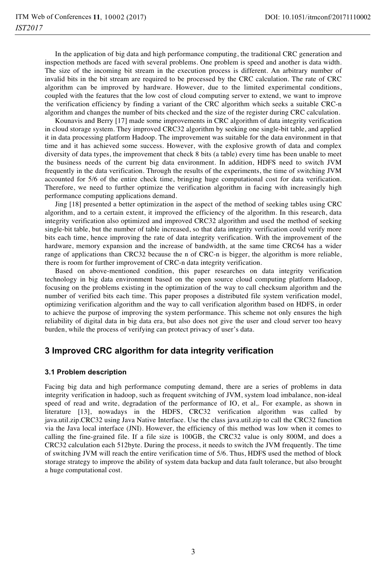In the application of big data and high performance computing, the traditional CRC generation and inspection methods are faced with several problems. One problem is speed and another is data width. The size of the incoming bit stream in the execution process is different. An arbitrary number of invalid bits in the bit stream are required to be processed by the CRC calculation. The rate of CRC algorithm can be improved by hardware. However, due to the limited experimental conditions, coupled with the features that the low cost of cloud computing server to extend, we want to improve the verification efficiency by finding a variant of the CRC algorithm which seeks a suitable CRC-n algorithm and changes the number of bits checked and the size of the register during CRC calculation.

Kounavis and Berry [17] made some improvements in CRC algorithm of data integrity verification in cloud storage system. They improved CRC32 algorithm by seeking one single-bit table, and applied it in data processing platform Hadoop. The improvement was suitable for the data environment in that time and it has achieved some success. However, with the explosive growth of data and complex diversity of data types, the improvement that check 8 bits (a table) every time has been unable to meet the business needs of the current big data environment. In addition, HDFS need to switch JVM frequently in the data verification. Through the results of the experiments, the time of switching JVM accounted for 5/6 of the entire check time, bringing huge computational cost for data verification. Therefore, we need to further optimize the verification algorithm in facing with increasingly high performance computing applications demand.

Jing [18] presented a better optimization in the aspect of the method of seeking tables using CRC algorithm, and to a certain extent, it improved the efficiency of the algorithm. In this research, data integrity verification also optimized and improved CRC32 algorithm and used the method of seeking single-bit table, but the number of table increased, so that data integrity verification could verify more bits each time, hence improving the rate of data integrity verification. With the improvement of the hardware, memory expansion and the increase of bandwidth, at the same time CRC64 has a wider range of applications than CRC32 because the n of CRC-n is bigger, the algorithm is more reliable, there is room for further improvement of CRC-n data integrity verification.

Based on above-mentioned condition, this paper researches on data integrity verification technology in big data environment based on the open source cloud computing platform Hadoop, focusing on the problems existing in the optimization of the way to call checksum algorithm and the number of verified bits each time. This paper proposes a distributed file system verification model, optimizing verification algorithm and the way to call verification algorithm based on HDFS, in order to achieve the purpose of improving the system performance. This scheme not only ensures the high reliability of digital data in big data era, but also does not give the user and cloud server too heavy burden, while the process of verifying can protect privacy of user's data.

## **3 Improved CRC algorithm for data integrity verification**

#### **3.1 Problem description**

Facing big data and high performance computing demand, there are a series of problems in data integrity verification in hadoop, such as frequent switching of JVM, system load imbalance, non-ideal speed of read and write, degradation of the performance of IO, et al,. For example, as shown in literature [13], nowadays in the HDFS, CRC32 verification algorithm was called by java.util.zip.CRC32 using Java Native Interface. Use the class java.util.zip to call the CRC32 function via the Java local interface (JNI). However, the efficiency of this method was low when it comes to calling the fine-grained file. If a file size is 100GB, the CRC32 value is only 800M, and does a CRC32 calculation each 512byte. During the process, it needs to switch the JVM frequently. The time of switching JVM will reach the entire verification time of 5/6. Thus, HDFS used the method of block storage strategy to improve the ability of system data backup and data fault tolerance, but also brought a huge computational cost.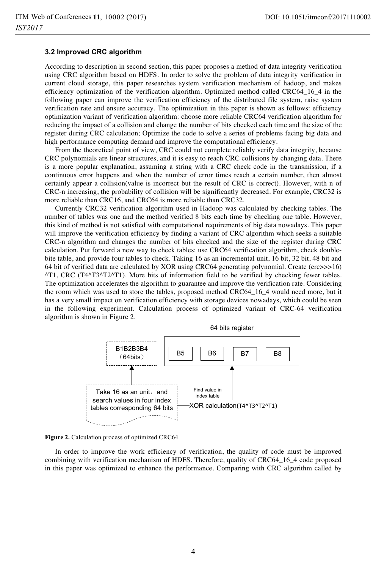#### **3.2 Improved CRC algorithm**

According to description in second section, this paper proposes a method of data integrity verification using CRC algorithm based on HDFS. In order to solve the problem of data integrity verification in current cloud storage, this paper researches system verification mechanism of hadoop, and makes efficiency optimization of the verification algorithm. Optimized method called CRC64\_16\_4 in the following paper can improve the verification efficiency of the distributed file system, raise system verification rate and ensure accuracy. The optimization in this paper is shown as follows: efficiency optimization variant of verification algorithm: choose more reliable CRC64 verification algorithm for reducing the impact of a collision and change the number of bits checked each time and the size of the register during CRC calculation; Optimize the code to solve a series of problems facing big data and high performance computing demand and improve the computational efficiency.

From the theoretical point of view, CRC could not complete reliably verify data integrity, because CRC polynomials are linear structures, and it is easy to reach CRC collisions by changing data. There is a more popular explanation, assuming a string with a CRC check code in the transmission, if a continuous error happens and when the number of error times reach a certain number, then almost certainly appear a collision(value is incorrect but the result of CRC is correct). However, with n of CRC-n increasing, the probability of collision will be significantly decreased. For example, CRC32 is more reliable than CRC16, and CRC64 is more reliable than CRC32.

Currently CRC32 verification algorithm used in Hadoop was calculated by checking tables. The number of tables was one and the method verified 8 bits each time by checking one table. However, this kind of method is not satisfied with computational requirements of big data nowadays. This paper will improve the verification efficiency by finding a variant of CRC algorithm which seeks a suitable CRC-n algorithm and changes the number of bits checked and the size of the register during CRC calculation. Put forward a new way to check tables: use CRC64 verification algorithm, check doublebite table, and provide four tables to check. Taking 16 as an incremental unit, 16 bit, 32 bit, 48 bit and 64 bit of verified data are calculated by XOR using CRC64 generating polynomial. Create (crc>>>16) ^T1, CRC (T4^T3^T2^T1). More bits of information field to be verified by checking fewer tables. The optimization accelerates the algorithm to guarantee and improve the verification rate. Considering the room which was used to store the tables, proposed method CRC64 16 4 would need more, but it has a very small impact on verification efficiency with storage devices nowadays, which could be seen in the following experiment. Calculation process of optimized variant of CRC-64 verification algorithm is shown in Figure 2.



**Figure 2.** Calculation process of optimized CRC64.

In order to improve the work efficiency of verification, the quality of code must be improved combining with verification mechanism of HDFS. Therefore, quality of CRC64\_16\_4 code proposed in this paper was optimized to enhance the performance. Comparing with CRC algorithm called by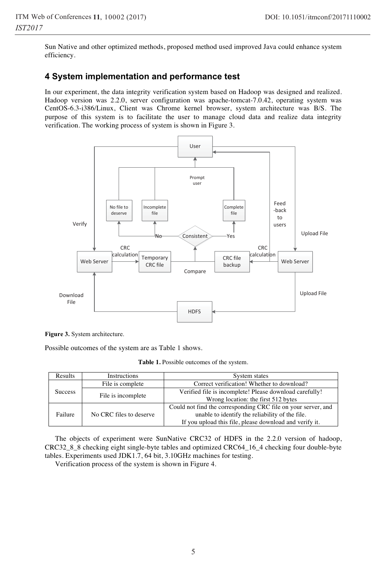Sun Native and other optimized methods, proposed method used improved Java could enhance system efficiency.

### **4 System implementation and performance test**

In our experiment, the data integrity verification system based on Hadoop was designed and realized. Hadoop version was 2.2.0, server configuration was apache-tomcat-7.0.42, operating system was CentOS-6.3-i386/Linux, Client was Chrome kernel browser, system architecture was B/S. The purpose of this system is to facilitate the user to manage cloud data and realize data integrity verification. The working process of system is shown in Figure 3.



**Figure 3.** System architecture.

Possible outcomes of the system are as Table 1 shows.

| Results        | Instructions            | System states                                                 |  |  |
|----------------|-------------------------|---------------------------------------------------------------|--|--|
| <b>Success</b> | File is complete        | Correct verification! Whether to download?                    |  |  |
|                | File is incomplete      | Verified file is incomplete! Please download carefully!       |  |  |
|                |                         | Wrong location: the first 512 bytes                           |  |  |
| Failure        | No CRC files to deserve | Could not find the corresponding CRC file on your server, and |  |  |
|                |                         | unable to identify the reliability of the file.               |  |  |
|                |                         | If you upload this file, please download and verify it.       |  |  |

The objects of experiment were SunNative CRC32 of HDFS in the 2.2.0 version of hadoop, CRC32\_8\_8 checking eight single-byte tables and optimized CRC64\_16\_4 checking four double-byte tables. Experiments used JDK1.7, 64 bit, 3.10GHz machines for testing.

Verification process of the system is shown in Figure 4.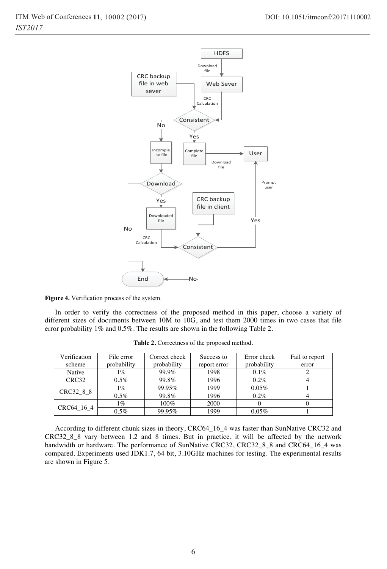

 $\overline{a}$ 

**Figure 4.** Verification process of the system.

In order to verify the correctness of the proposed method in this paper, choose a variety of different sizes of documents between 10M to 10G, and test them 2000 times in two cases that file error probability 1% and 0.5%. The results are shown in the following Table 2.

| Verification<br>scheme | File error<br>probability | Correct check<br>probability | Success to<br>report error | Error check<br>probability | Fail to report<br>error |
|------------------------|---------------------------|------------------------------|----------------------------|----------------------------|-------------------------|
| Native                 | $1\%$                     | 99.9%                        | 1998                       | $0.1\%$                    |                         |
| CRC32                  | $0.5\%$                   | 99.8%                        | 1996                       | $0.2\%$                    |                         |
| CRC32 8 8              | 1%                        | 99.95%                       | 1999                       | 0.05%                      |                         |
|                        | $0.5\%$                   | 99.8%                        | 1996                       | 0.2%                       |                         |
| CRC64 16 4             | 1%                        | 100%                         | 2000                       |                            |                         |
|                        | 0.5%                      | 99.95%                       | 1999                       | 0.05%                      |                         |

**Table 2.** Correctness of the proposed method.

According to different chunk sizes in theory, CRC64\_16\_4 was faster than SunNative CRC32 and CRC32\_8\_8 vary between 1.2 and 8 times. But in practice, it will be affected by the network bandwidth or hardware. The performance of SunNative CRC32, CRC32\_8\_8 and CRC64\_16\_4 was compared. Experiments used JDK1.7, 64 bit, 3.10GHz machines for testing. The experimental results are shown in Figure 5.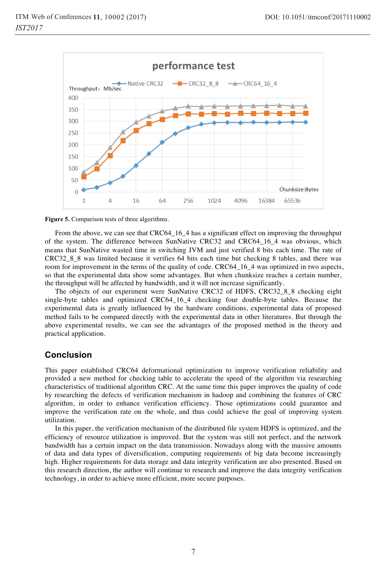



From the above, we can see that CRC64\_16\_4 has a significant effect on improving the throughput of the system. The difference between SunNative CRC32 and CRC64\_16\_4 was obvious, which means that SunNative wasted time in switching JVM and just verified 8 bits each time. The rate of CRC32\_8\_8 was limited because it verifies 64 bits each time but checking 8 tables, and there was room for improvement in the terms of the quality of code. CRC64\_16\_4 was optimized in two aspects, so that the experimental data show some advantages. But when chunksize reaches a certain number, the throughput will be affected by bandwidth, and it will not increase significantly.

The objects of our experiment were SunNative CRC32 of HDFS, CRC32\_8\_8 checking eight single-byte tables and optimized CRC64\_16\_4 checking four double-byte tables. Because the experimental data is greatly influenced by the hardware conditions, experimental data of proposed method fails to be compared directly with the experimental data in other literatures. But through the above experimental results, we can see the advantages of the proposed method in the theory and practical application.

## **Conclusion**

This paper established CRC64 deformational optimization to improve verification reliability and provided a new method for checking table to accelerate the speed of the algorithm via researching characteristics of traditional algorithm CRC. At the same time this paper improves the quality of code by researching the defects of verification mechanism in hadoop and combining the features of CRC algorithm, in order to enhance verification efficiency. Those optimizations could guarantee and improve the verification rate on the whole, and thus could achieve the goal of improving system utilization.

In this paper, the verification mechanism of the distributed file system HDFS is optimized, and the efficiency of resource utilization is improved. But the system was still not perfect, and the network bandwidth has a certain impact on the data transmission. Nowadays along with the massive amounts of data and data types of diversification, computing requirements of big data become increasingly high. Higher requirements for data storage and data integrity verification are also presented. Based on this research direction, the author will continue to research and improve the data integrity verification technology, in order to achieve more efficient, more secure purposes.